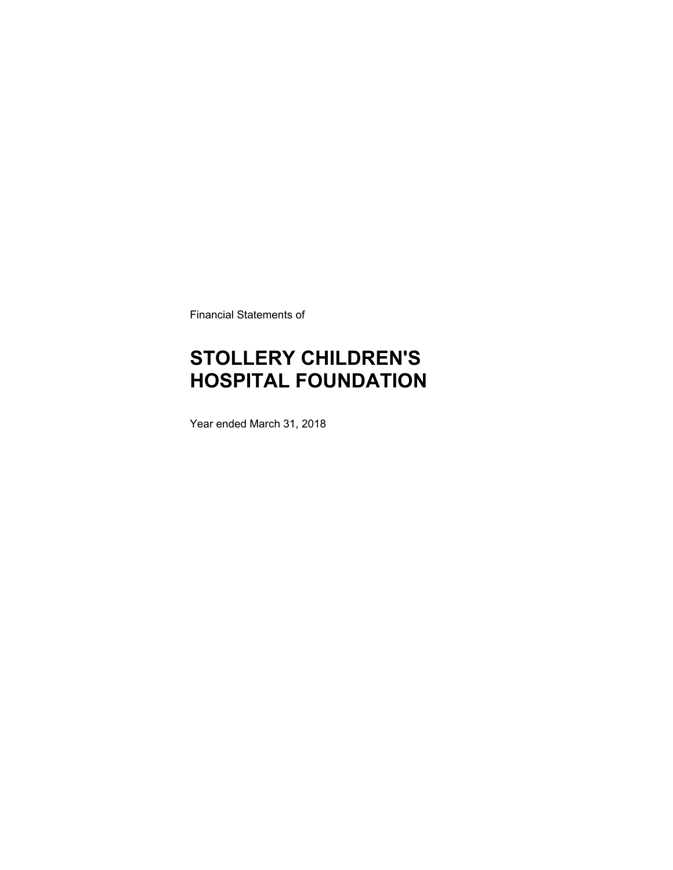Financial Statements of

# **STOLLERY CHILDREN'S HOSPITAL FOUNDATION**

Year ended March 31, 2018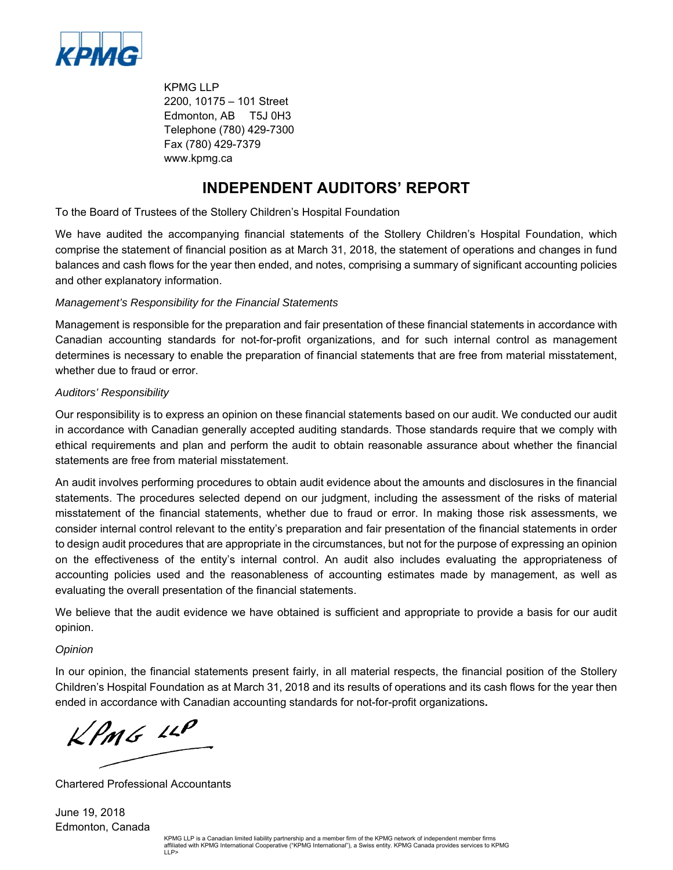

KPMG LLP 2200, 10175 – 101 Street Edmonton, AB T5J 0H3 Telephone (780) 429-7300 Fax (780) 429-7379 www.kpmg.ca

### **INDEPENDENT AUDITORS' REPORT**

To the Board of Trustees of the Stollery Children's Hospital Foundation

We have audited the accompanying financial statements of the Stollery Children's Hospital Foundation, which comprise the statement of financial position as at March 31, 2018, the statement of operations and changes in fund balances and cash flows for the year then ended, and notes, comprising a summary of significant accounting policies and other explanatory information.

#### *Management's Responsibility for the Financial Statements*

Management is responsible for the preparation and fair presentation of these financial statements in accordance with Canadian accounting standards for not-for-profit organizations, and for such internal control as management determines is necessary to enable the preparation of financial statements that are free from material misstatement, whether due to fraud or error.

#### *Auditors' Responsibility*

Our responsibility is to express an opinion on these financial statements based on our audit. We conducted our audit in accordance with Canadian generally accepted auditing standards. Those standards require that we comply with ethical requirements and plan and perform the audit to obtain reasonable assurance about whether the financial statements are free from material misstatement.

An audit involves performing procedures to obtain audit evidence about the amounts and disclosures in the financial statements. The procedures selected depend on our judgment, including the assessment of the risks of material misstatement of the financial statements, whether due to fraud or error. In making those risk assessments, we consider internal control relevant to the entity's preparation and fair presentation of the financial statements in order to design audit procedures that are appropriate in the circumstances, but not for the purpose of expressing an opinion on the effectiveness of the entity's internal control. An audit also includes evaluating the appropriateness of accounting policies used and the reasonableness of accounting estimates made by management, as well as evaluating the overall presentation of the financial statements.

We believe that the audit evidence we have obtained is sufficient and appropriate to provide a basis for our audit opinion.

#### *Opinion*

In our opinion, the financial statements present fairly, in all material respects, the financial position of the Stollery Children's Hospital Foundation as at March 31, 2018 and its results of operations and its cash flows for the year then ended in accordance with Canadian accounting standards for not-for-profit organizations**.** 

 $KPMG$  11P

Chartered Professional Accountants

June 19, 2018 Edmonton, Canada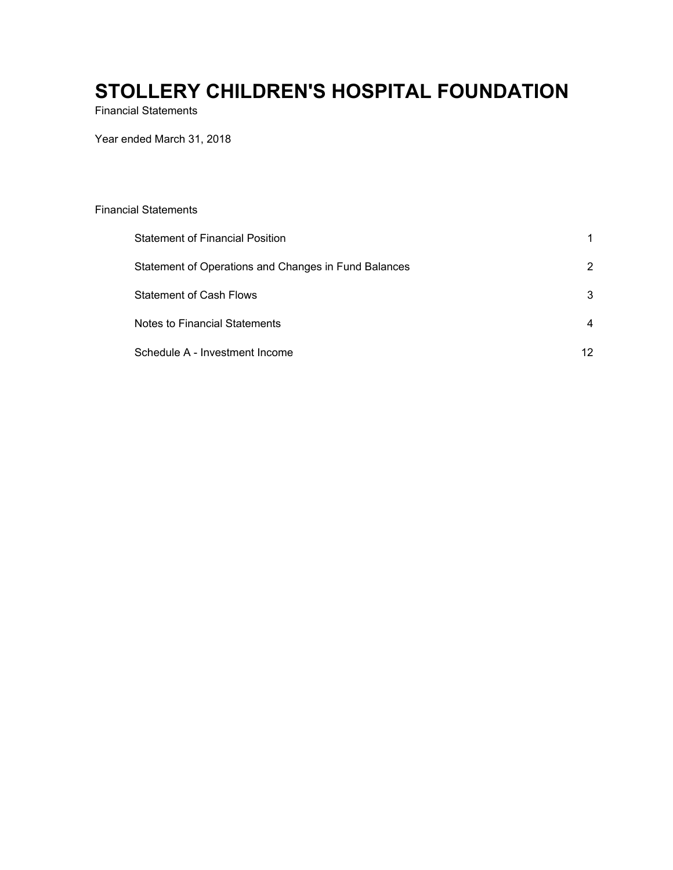Financial Statements

Year ended March 31, 2018

| <b>Financial Statements</b>                          |    |
|------------------------------------------------------|----|
| <b>Statement of Financial Position</b>               |    |
| Statement of Operations and Changes in Fund Balances | 2  |
| <b>Statement of Cash Flows</b>                       | 3  |
| Notes to Financial Statements                        | 4  |
| Schedule A - Investment Income                       | 12 |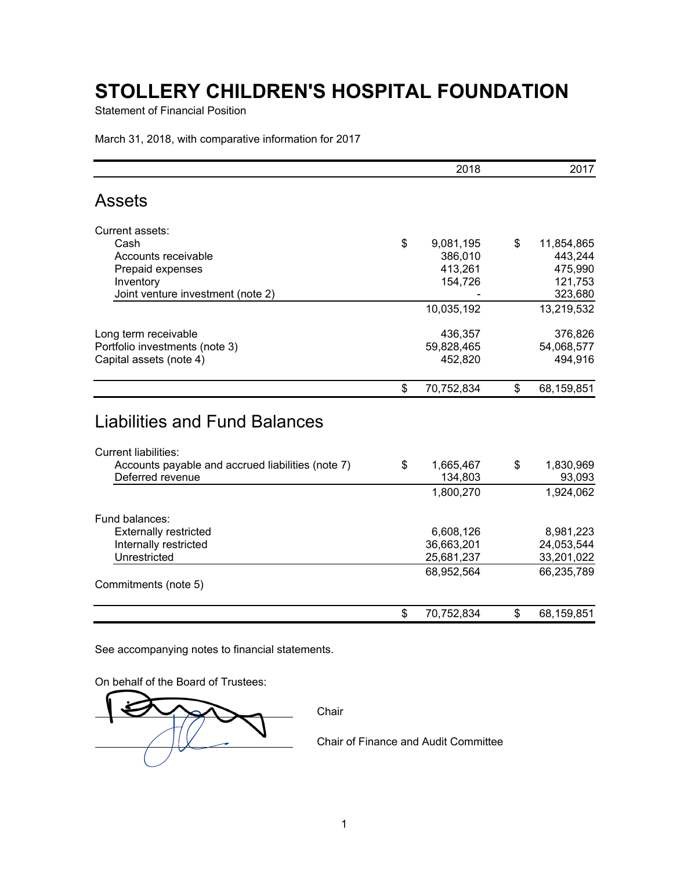Statement of Financial Position

March 31, 2018, with comparative information for 2017

|                                                   | 2018             | 2017               |
|---------------------------------------------------|------------------|--------------------|
| <b>Assets</b>                                     |                  |                    |
| Current assets:                                   |                  |                    |
| Cash                                              | \$<br>9,081,195  | \$<br>11,854,865   |
| Accounts receivable                               | 386,010          | 443,244            |
| Prepaid expenses                                  | 413,261          | 475,990            |
| Inventory<br>Joint venture investment (note 2)    | 154,726          | 121,753<br>323,680 |
|                                                   | 10,035,192       | 13,219,532         |
| Long term receivable                              | 436,357          | 376,826            |
| Portfolio investments (note 3)                    | 59,828,465       | 54,068,577         |
| Capital assets (note 4)                           | 452,820          | 494,916            |
|                                                   | \$<br>70,752,834 | \$<br>68,159,851   |
| Liabilities and Fund Balances                     |                  |                    |
| <b>Current liabilities:</b>                       |                  |                    |
| Accounts payable and accrued liabilities (note 7) | \$<br>1,665,467  | \$<br>1,830,969    |
| Deferred revenue                                  | 134,803          | 93,093             |
|                                                   | 1,800,270        | 1,924,062          |
| Fund balances:                                    |                  |                    |
| <b>Externally restricted</b>                      | 6,608,126        | 8,981,223          |
| Internally restricted                             | 36,663,201       | 24,053,544         |
| Unrestricted                                      | 25,681,237       | 33,201,022         |
| Commitments (note 5)                              | 68,952,564       | 66,235,789         |
|                                                   |                  |                    |
|                                                   | \$<br>70,752,834 | \$<br>68,159,851   |

See accompanying notes to financial statements.

On behalf of the Board of Trustees:

Chair

Chair of Finance and Audit Committee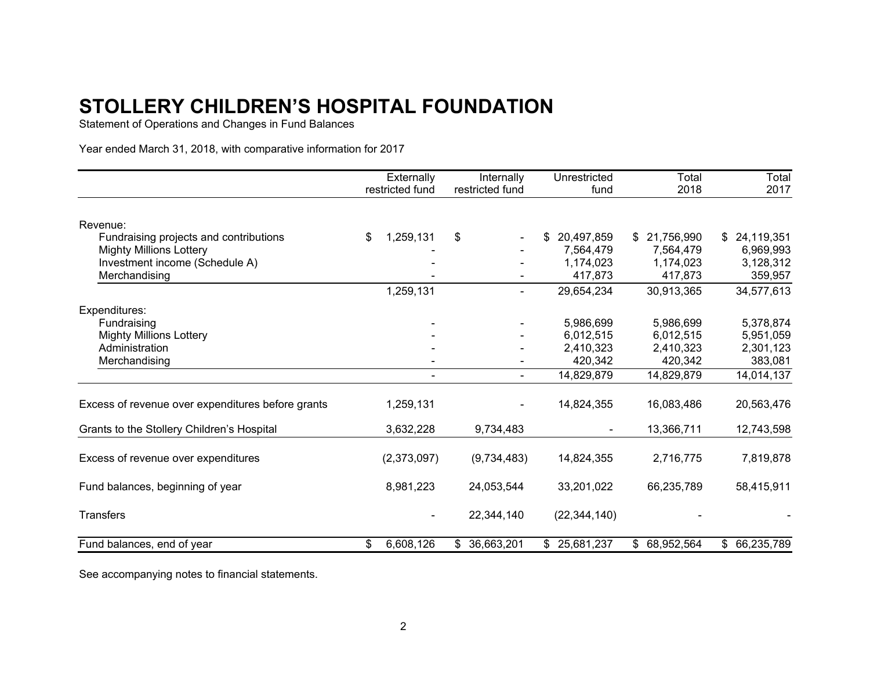Statement of Operations and Changes in Fund Balances

Year ended March 31, 2018, with comparative information for 2017

|                                                   | Externally<br>restricted fund | Internally<br>restricted fund | Unrestricted<br>fund | Total<br>2018 | Total<br>2017 |
|---------------------------------------------------|-------------------------------|-------------------------------|----------------------|---------------|---------------|
|                                                   |                               |                               |                      |               |               |
| Revenue:                                          |                               |                               |                      |               |               |
| Fundraising projects and contributions            | \$<br>1,259,131               | \$                            | 20,497,859<br>\$     | \$21,756,990  | \$24,119,351  |
| <b>Mighty Millions Lottery</b>                    |                               |                               | 7,564,479            | 7,564,479     | 6,969,993     |
| Investment income (Schedule A)                    |                               |                               | 1,174,023            | 1,174,023     | 3,128,312     |
| Merchandising                                     |                               |                               | 417,873              | 417,873       | 359,957       |
|                                                   | 1,259,131                     |                               | 29,654,234           | 30,913,365    | 34,577,613    |
| Expenditures:                                     |                               |                               |                      |               |               |
| Fundraising                                       |                               |                               | 5,986,699            | 5,986,699     | 5,378,874     |
| <b>Mighty Millions Lottery</b>                    |                               |                               | 6,012,515            | 6,012,515     | 5,951,059     |
| Administration                                    |                               |                               | 2,410,323            | 2,410,323     | 2,301,123     |
| Merchandising                                     |                               |                               | 420,342              | 420,342       | 383,081       |
|                                                   |                               | $\blacksquare$                | 14,829,879           | 14,829,879    | 14,014,137    |
| Excess of revenue over expenditures before grants | 1,259,131                     |                               | 14,824,355           | 16,083,486    | 20,563,476    |
| Grants to the Stollery Children's Hospital        | 3,632,228                     | 9,734,483                     |                      | 13,366,711    | 12,743,598    |
| Excess of revenue over expenditures               | (2,373,097)                   | (9,734,483)                   | 14,824,355           | 2,716,775     | 7,819,878     |
| Fund balances, beginning of year                  | 8,981,223                     | 24,053,544                    | 33,201,022           | 66,235,789    | 58,415,911    |
| <b>Transfers</b>                                  |                               | 22,344,140                    | (22, 344, 140)       |               |               |
| Fund balances, end of year                        | \$<br>6,608,126               | 36,663,201<br>\$              | \$25,681,237         | \$ 68,952,564 | \$66,235,789  |

See accompanying notes to financial statements.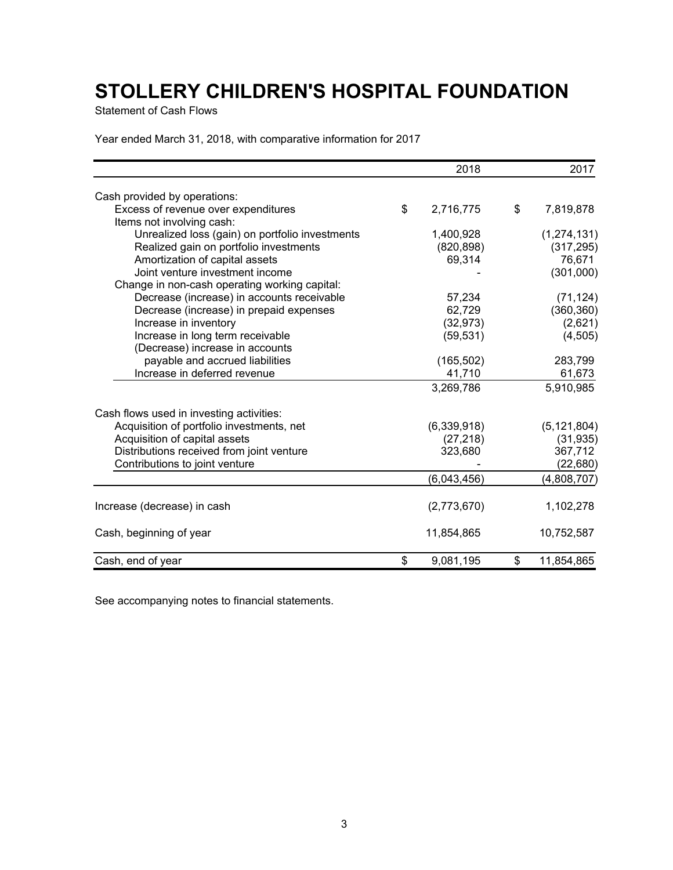Statement of Cash Flows

Year ended March 31, 2018, with comparative information for 2017

|                                                                  | 2018            | 2017             |  |
|------------------------------------------------------------------|-----------------|------------------|--|
| Cash provided by operations:                                     |                 |                  |  |
| Excess of revenue over expenditures<br>Items not involving cash: | \$<br>2,716,775 | \$<br>7,819,878  |  |
| Unrealized loss (gain) on portfolio investments                  | 1,400,928       | (1, 274, 131)    |  |
| Realized gain on portfolio investments                           | (820, 898)      | (317, 295)       |  |
| Amortization of capital assets                                   | 69,314          | 76,671           |  |
| Joint venture investment income                                  |                 | (301,000)        |  |
| Change in non-cash operating working capital:                    |                 |                  |  |
| Decrease (increase) in accounts receivable                       | 57,234          | (71, 124)        |  |
| Decrease (increase) in prepaid expenses                          | 62,729          | (360, 360)       |  |
| Increase in inventory                                            | (32, 973)       | (2,621)          |  |
| Increase in long term receivable                                 | (59, 531)       | (4, 505)         |  |
| (Decrease) increase in accounts                                  |                 |                  |  |
| payable and accrued liabilities                                  | (165, 502)      | 283,799          |  |
| Increase in deferred revenue                                     | 41,710          | 61,673           |  |
|                                                                  | 3,269,786       | 5,910,985        |  |
| Cash flows used in investing activities:                         |                 |                  |  |
| Acquisition of portfolio investments, net                        | (6,339,918)     | (5, 121, 804)    |  |
| Acquisition of capital assets                                    | (27, 218)       | (31, 935)        |  |
| Distributions received from joint venture                        | 323,680         | 367,712          |  |
| Contributions to joint venture                                   |                 | (22, 680)        |  |
|                                                                  | (6,043,456)     | (4,808,707)      |  |
|                                                                  |                 | 1,102,278        |  |
| Increase (decrease) in cash                                      | (2,773,670)     |                  |  |
| Cash, beginning of year                                          | 11,854,865      | 10,752,587       |  |
| Cash, end of year                                                | \$<br>9,081,195 | \$<br>11,854,865 |  |

See accompanying notes to financial statements.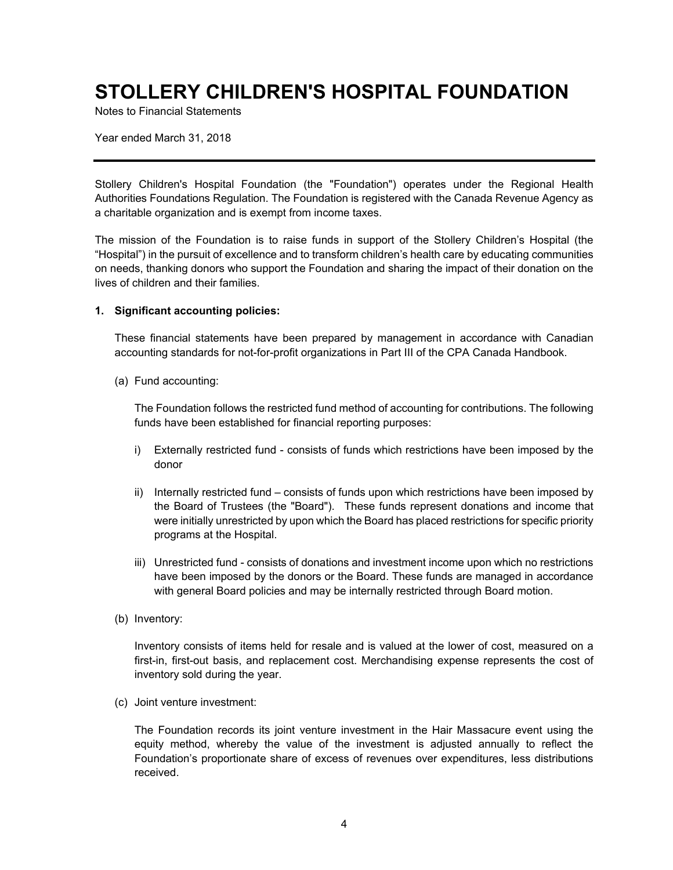Notes to Financial Statements

Year ended March 31, 2018

Stollery Children's Hospital Foundation (the "Foundation") operates under the Regional Health Authorities Foundations Regulation. The Foundation is registered with the Canada Revenue Agency as a charitable organization and is exempt from income taxes.

The mission of the Foundation is to raise funds in support of the Stollery Children's Hospital (the "Hospital") in the pursuit of excellence and to transform children's health care by educating communities on needs, thanking donors who support the Foundation and sharing the impact of their donation on the lives of children and their families.

#### **1. Significant accounting policies:**

These financial statements have been prepared by management in accordance with Canadian accounting standards for not-for-profit organizations in Part III of the CPA Canada Handbook.

(a) Fund accounting:

The Foundation follows the restricted fund method of accounting for contributions. The following funds have been established for financial reporting purposes:

- i) Externally restricted fund consists of funds which restrictions have been imposed by the donor
- ii) Internally restricted fund consists of funds upon which restrictions have been imposed by the Board of Trustees (the "Board"). These funds represent donations and income that were initially unrestricted by upon which the Board has placed restrictions for specific priority programs at the Hospital.
- iii) Unrestricted fund consists of donations and investment income upon which no restrictions have been imposed by the donors or the Board. These funds are managed in accordance with general Board policies and may be internally restricted through Board motion.
- (b) Inventory:

Inventory consists of items held for resale and is valued at the lower of cost, measured on a first-in, first-out basis, and replacement cost. Merchandising expense represents the cost of inventory sold during the year.

(c) Joint venture investment:

 The Foundation records its joint venture investment in the Hair Massacure event using the equity method, whereby the value of the investment is adjusted annually to reflect the Foundation's proportionate share of excess of revenues over expenditures, less distributions received.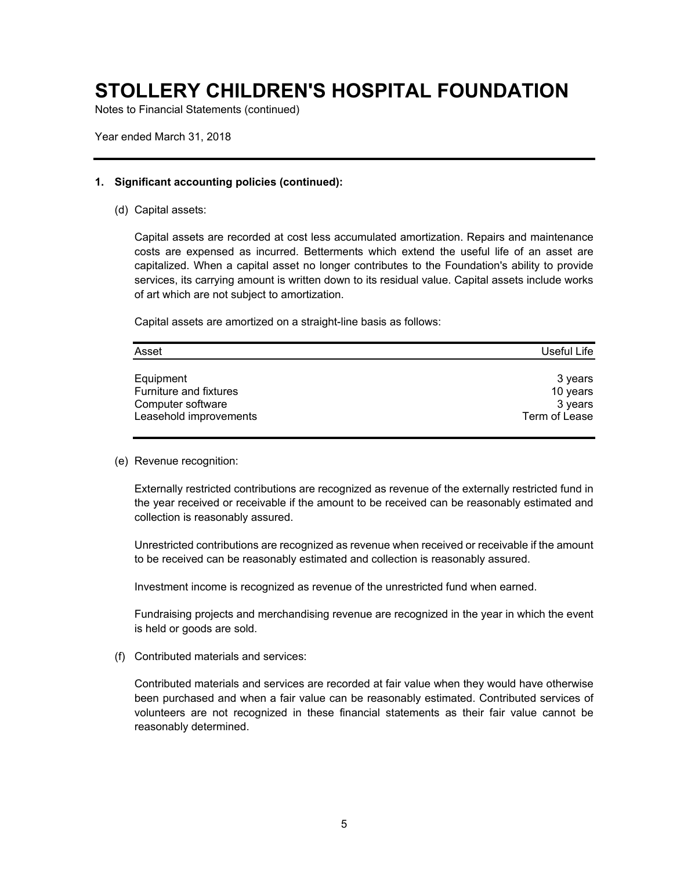Notes to Financial Statements (continued)

Year ended March 31, 2018

#### **1. Significant accounting policies (continued):**

(d) Capital assets:

Capital assets are recorded at cost less accumulated amortization. Repairs and maintenance costs are expensed as incurred. Betterments which extend the useful life of an asset are capitalized. When a capital asset no longer contributes to the Foundation's ability to provide services, its carrying amount is written down to its residual value. Capital assets include works of art which are not subject to amortization.

Capital assets are amortized on a straight-line basis as follows:

| Asset                  | Useful Life   |
|------------------------|---------------|
| Equipment              | 3 years       |
| Furniture and fixtures | 10 years      |
| Computer software      | 3 years       |
| Leasehold improvements | Term of Lease |

#### (e) Revenue recognition:

Externally restricted contributions are recognized as revenue of the externally restricted fund in the year received or receivable if the amount to be received can be reasonably estimated and collection is reasonably assured.

Unrestricted contributions are recognized as revenue when received or receivable if the amount to be received can be reasonably estimated and collection is reasonably assured.

Investment income is recognized as revenue of the unrestricted fund when earned.

Fundraising projects and merchandising revenue are recognized in the year in which the event is held or goods are sold.

(f) Contributed materials and services:

Contributed materials and services are recorded at fair value when they would have otherwise been purchased and when a fair value can be reasonably estimated. Contributed services of volunteers are not recognized in these financial statements as their fair value cannot be reasonably determined.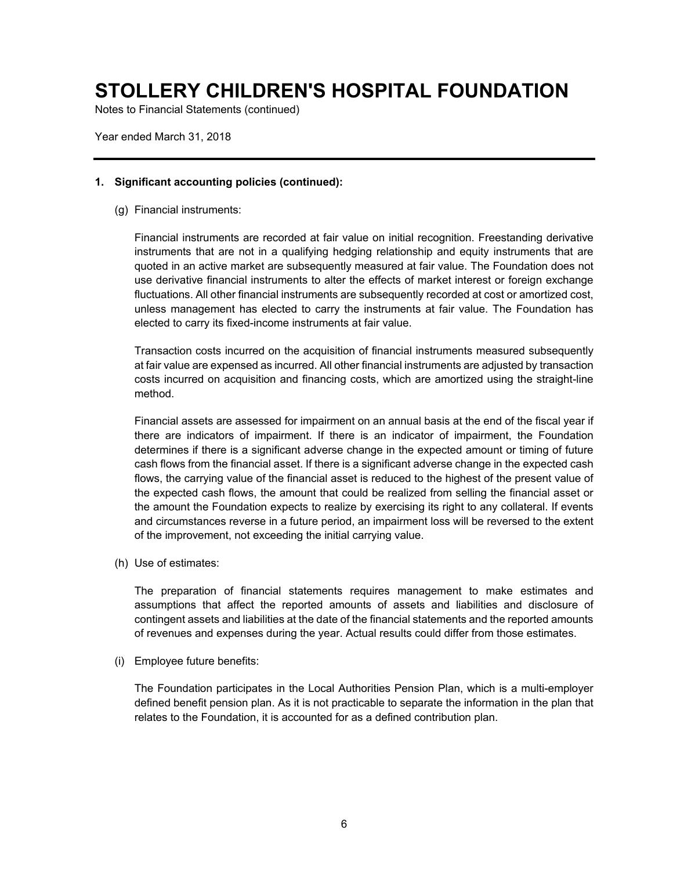Notes to Financial Statements (continued)

Year ended March 31, 2018

#### **1. Significant accounting policies (continued):**

(g) Financial instruments:

Financial instruments are recorded at fair value on initial recognition. Freestanding derivative instruments that are not in a qualifying hedging relationship and equity instruments that are quoted in an active market are subsequently measured at fair value. The Foundation does not use derivative financial instruments to alter the effects of market interest or foreign exchange fluctuations. All other financial instruments are subsequently recorded at cost or amortized cost, unless management has elected to carry the instruments at fair value. The Foundation has elected to carry its fixed-income instruments at fair value.

Transaction costs incurred on the acquisition of financial instruments measured subsequently at fair value are expensed as incurred. All other financial instruments are adjusted by transaction costs incurred on acquisition and financing costs, which are amortized using the straight-line method.

Financial assets are assessed for impairment on an annual basis at the end of the fiscal year if there are indicators of impairment. If there is an indicator of impairment, the Foundation determines if there is a significant adverse change in the expected amount or timing of future cash flows from the financial asset. If there is a significant adverse change in the expected cash flows, the carrying value of the financial asset is reduced to the highest of the present value of the expected cash flows, the amount that could be realized from selling the financial asset or the amount the Foundation expects to realize by exercising its right to any collateral. If events and circumstances reverse in a future period, an impairment loss will be reversed to the extent of the improvement, not exceeding the initial carrying value.

(h) Use of estimates:

The preparation of financial statements requires management to make estimates and assumptions that affect the reported amounts of assets and liabilities and disclosure of contingent assets and liabilities at the date of the financial statements and the reported amounts of revenues and expenses during the year. Actual results could differ from those estimates.

(i) Employee future benefits:

The Foundation participates in the Local Authorities Pension Plan, which is a multi-employer defined benefit pension plan. As it is not practicable to separate the information in the plan that relates to the Foundation, it is accounted for as a defined contribution plan.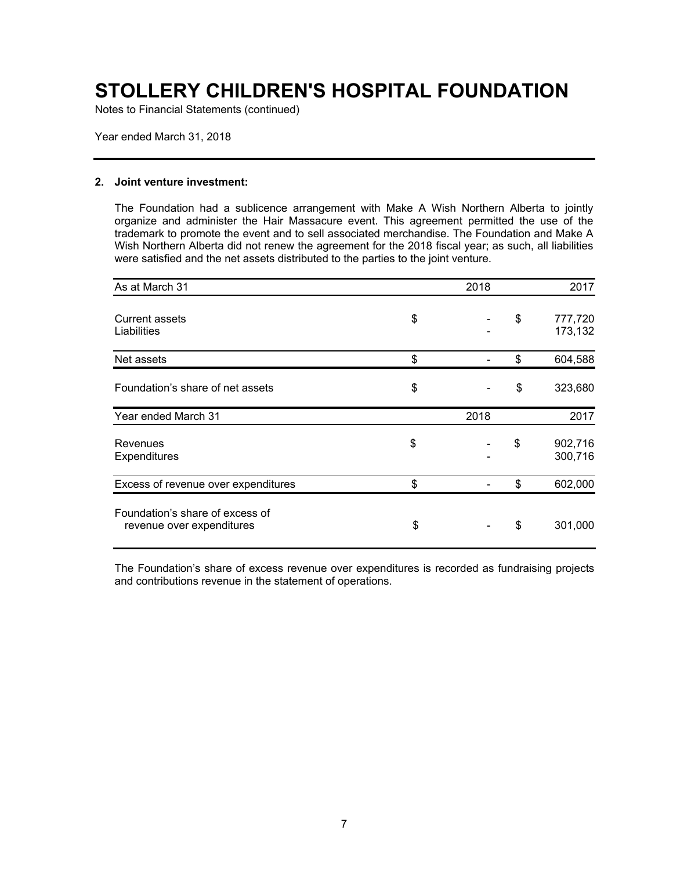Notes to Financial Statements (continued)

Year ended March 31, 2018

#### **2. Joint venture investment:**

The Foundation had a sublicence arrangement with Make A Wish Northern Alberta to jointly organize and administer the Hair Massacure event. This agreement permitted the use of the trademark to promote the event and to sell associated merchandise. The Foundation and Make A Wish Northern Alberta did not renew the agreement for the 2018 fiscal year; as such, all liabilities were satisfied and the net assets distributed to the parties to the joint venture.

| As at March 31                                               | 2018 | 2017                     |
|--------------------------------------------------------------|------|--------------------------|
| <b>Current assets</b><br>Liabilities                         | \$   | \$<br>777,720<br>173,132 |
| Net assets                                                   | \$   | \$<br>604,588            |
| Foundation's share of net assets                             | \$   | \$<br>323,680            |
| Year ended March 31                                          | 2018 | 2017                     |
| Revenues<br>Expenditures                                     | \$   | \$<br>902,716<br>300,716 |
| Excess of revenue over expenditures                          | \$   | \$<br>602,000            |
| Foundation's share of excess of<br>revenue over expenditures | \$   | \$<br>301,000            |

The Foundation's share of excess revenue over expenditures is recorded as fundraising projects and contributions revenue in the statement of operations.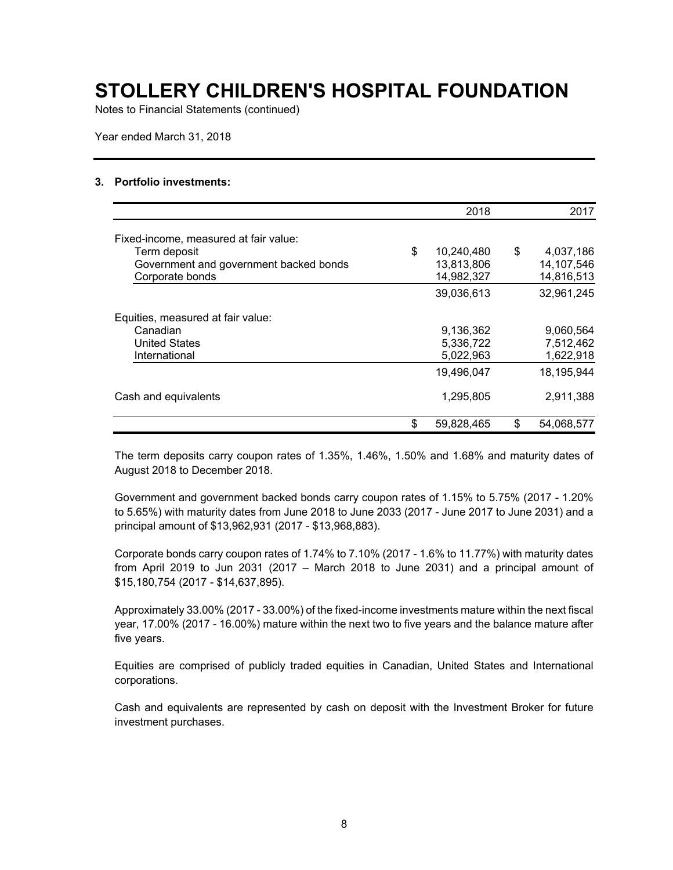Notes to Financial Statements (continued)

Year ended March 31, 2018

#### **3. Portfolio investments:**

|                                        | 2018             | 2017             |
|----------------------------------------|------------------|------------------|
| Fixed-income, measured at fair value:  |                  |                  |
| Term deposit                           | \$<br>10,240,480 | \$<br>4,037,186  |
| Government and government backed bonds | 13,813,806       | 14, 107, 546     |
| Corporate bonds                        | 14,982,327       | 14,816,513       |
|                                        | 39,036,613       | 32,961,245       |
| Equities, measured at fair value:      |                  |                  |
| Canadian                               | 9,136,362        | 9,060,564        |
| <b>United States</b>                   | 5,336,722        | 7,512,462        |
| International                          | 5,022,963        | 1,622,918        |
|                                        | 19,496,047       | 18,195,944       |
| Cash and equivalents                   | 1,295,805        | 2,911,388        |
|                                        | \$<br>59,828,465 | \$<br>54,068,577 |

The term deposits carry coupon rates of 1.35%, 1.46%, 1.50% and 1.68% and maturity dates of August 2018 to December 2018.

Government and government backed bonds carry coupon rates of 1.15% to 5.75% (2017 - 1.20% to 5.65%) with maturity dates from June 2018 to June 2033 (2017 - June 2017 to June 2031) and a principal amount of \$13,962,931 (2017 - \$13,968,883).

Corporate bonds carry coupon rates of 1.74% to 7.10% (2017 - 1.6% to 11.77%) with maturity dates from April 2019 to Jun 2031 (2017 – March 2018 to June 2031) and a principal amount of \$15,180,754 (2017 - \$14,637,895).

Approximately 33.00% (2017 - 33.00%) of the fixed-income investments mature within the next fiscal year, 17.00% (2017 - 16.00%) mature within the next two to five years and the balance mature after five years.

Equities are comprised of publicly traded equities in Canadian, United States and International corporations.

Cash and equivalents are represented by cash on deposit with the Investment Broker for future investment purchases.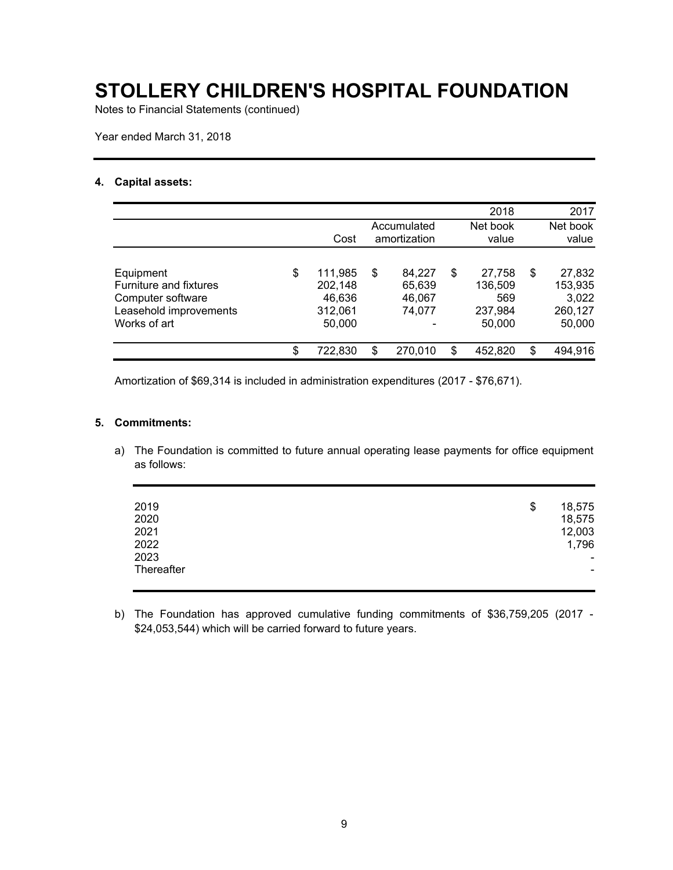Notes to Financial Statements (continued)

Year ended March 31, 2018

#### **4. Capital assets:**

|                                                                                                    |                                                         |                                            | 2018                                                | 2017                                                  |
|----------------------------------------------------------------------------------------------------|---------------------------------------------------------|--------------------------------------------|-----------------------------------------------------|-------------------------------------------------------|
|                                                                                                    | Cost                                                    | Accumulated<br>amortization                | Net book<br>value                                   | Net book<br>value                                     |
| Equipment<br>Furniture and fixtures<br>Computer software<br>Leasehold improvements<br>Works of art | \$<br>111,985<br>202,148<br>46,636<br>312,061<br>50,000 | \$<br>84.227<br>65,639<br>46,067<br>74,077 | \$<br>27,758<br>136,509<br>569<br>237,984<br>50,000 | \$<br>27,832<br>153,935<br>3,022<br>260,127<br>50,000 |
|                                                                                                    | \$<br>722,830                                           | \$<br>270,010                              | \$<br>452.820                                       | \$<br>494,916                                         |

Amortization of \$69,314 is included in administration expenditures (2017 - \$76,671).

#### **5. Commitments:**

a) The Foundation is committed to future annual operating lease payments for office equipment as follows:

| \$<br>18,575             |
|--------------------------|
| 18,575                   |
| 12,003                   |
| 1,796                    |
| $\overline{\phantom{0}}$ |
| ۰.                       |
|                          |
|                          |

b) The Foundation has approved cumulative funding commitments of \$36,759,205 (2017 - \$24,053,544) which will be carried forward to future years.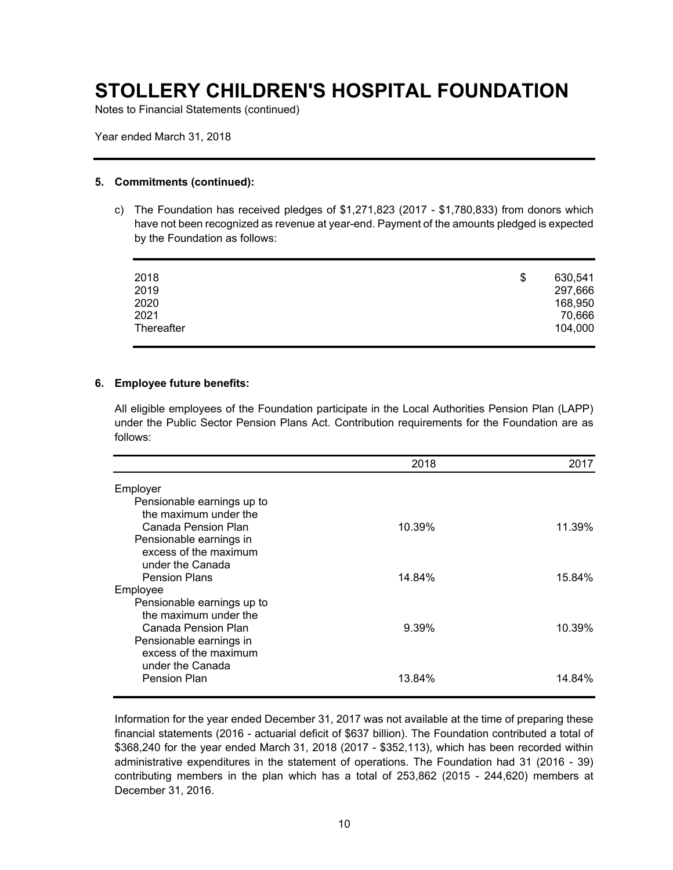Notes to Financial Statements (continued)

Year ended March 31, 2018

#### **5. Commitments (continued):**

c) The Foundation has received pledges of \$1,271,823 (2017 - \$1,780,833) from donors which have not been recognized as revenue at year-end. Payment of the amounts pledged is expected by the Foundation as follows:

| 2018<br>2019<br>2020<br>2021<br>Thereafter | S | 630,541<br>297,666<br>168,950<br>70,666<br>104,000 |
|--------------------------------------------|---|----------------------------------------------------|
|                                            |   |                                                    |

#### **6. Employee future benefits:**

All eligible employees of the Foundation participate in the Local Authorities Pension Plan (LAPP) under the Public Sector Pension Plans Act. Contribution requirements for the Foundation are as follows:

|                            | 2018   | 2017   |
|----------------------------|--------|--------|
| Employer                   |        |        |
| Pensionable earnings up to |        |        |
| the maximum under the      |        |        |
| Canada Pension Plan        | 10.39% | 11.39% |
| Pensionable earnings in    |        |        |
| excess of the maximum      |        |        |
| under the Canada           |        |        |
| <b>Pension Plans</b>       | 14.84% | 15.84% |
| Employee                   |        |        |
| Pensionable earnings up to |        |        |
| the maximum under the      |        |        |
| Canada Pension Plan        | 9.39%  | 10.39% |
| Pensionable earnings in    |        |        |
| excess of the maximum      |        |        |
| under the Canada           |        |        |
| Pension Plan               | 13.84% | 14.84% |
|                            |        |        |

Information for the year ended December 31, 2017 was not available at the time of preparing these financial statements (2016 - actuarial deficit of \$637 billion). The Foundation contributed a total of \$368,240 for the year ended March 31, 2018 (2017 - \$352,113), which has been recorded within administrative expenditures in the statement of operations. The Foundation had 31 (2016 - 39) contributing members in the plan which has a total of 253,862 (2015 - 244,620) members at December 31, 2016.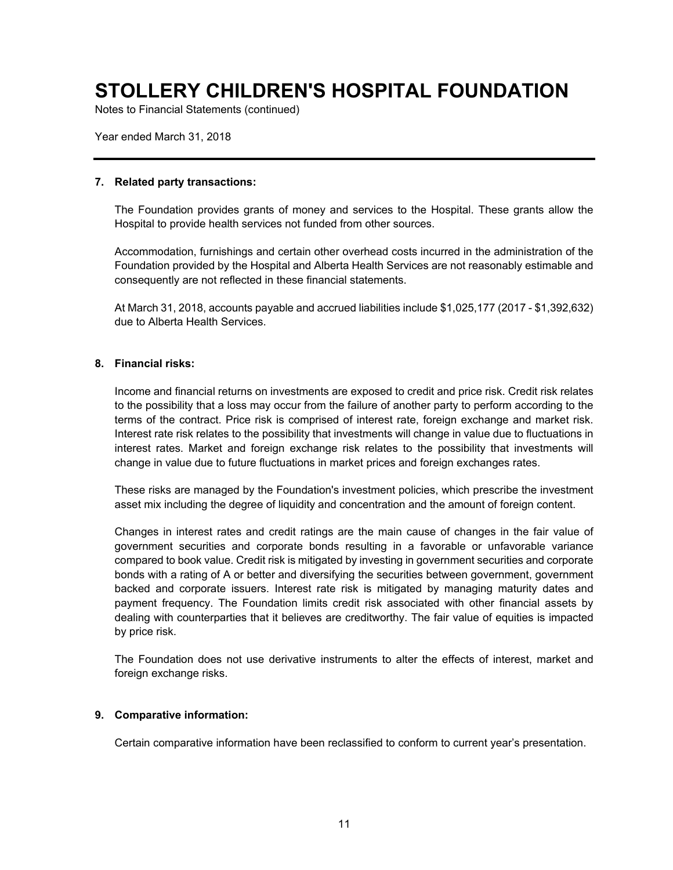Notes to Financial Statements (continued)

Year ended March 31, 2018

#### **7. Related party transactions:**

The Foundation provides grants of money and services to the Hospital. These grants allow the Hospital to provide health services not funded from other sources.

Accommodation, furnishings and certain other overhead costs incurred in the administration of the Foundation provided by the Hospital and Alberta Health Services are not reasonably estimable and consequently are not reflected in these financial statements.

At March 31, 2018, accounts payable and accrued liabilities include \$1,025,177 (2017 - \$1,392,632) due to Alberta Health Services.

#### **8. Financial risks:**

Income and financial returns on investments are exposed to credit and price risk. Credit risk relates to the possibility that a loss may occur from the failure of another party to perform according to the terms of the contract. Price risk is comprised of interest rate, foreign exchange and market risk. Interest rate risk relates to the possibility that investments will change in value due to fluctuations in interest rates. Market and foreign exchange risk relates to the possibility that investments will change in value due to future fluctuations in market prices and foreign exchanges rates.

These risks are managed by the Foundation's investment policies, which prescribe the investment asset mix including the degree of liquidity and concentration and the amount of foreign content.

Changes in interest rates and credit ratings are the main cause of changes in the fair value of government securities and corporate bonds resulting in a favorable or unfavorable variance compared to book value. Credit risk is mitigated by investing in government securities and corporate bonds with a rating of A or better and diversifying the securities between government, government backed and corporate issuers. Interest rate risk is mitigated by managing maturity dates and payment frequency. The Foundation limits credit risk associated with other financial assets by dealing with counterparties that it believes are creditworthy. The fair value of equities is impacted by price risk.

The Foundation does not use derivative instruments to alter the effects of interest, market and foreign exchange risks.

#### **9. Comparative information:**

Certain comparative information have been reclassified to conform to current year's presentation.